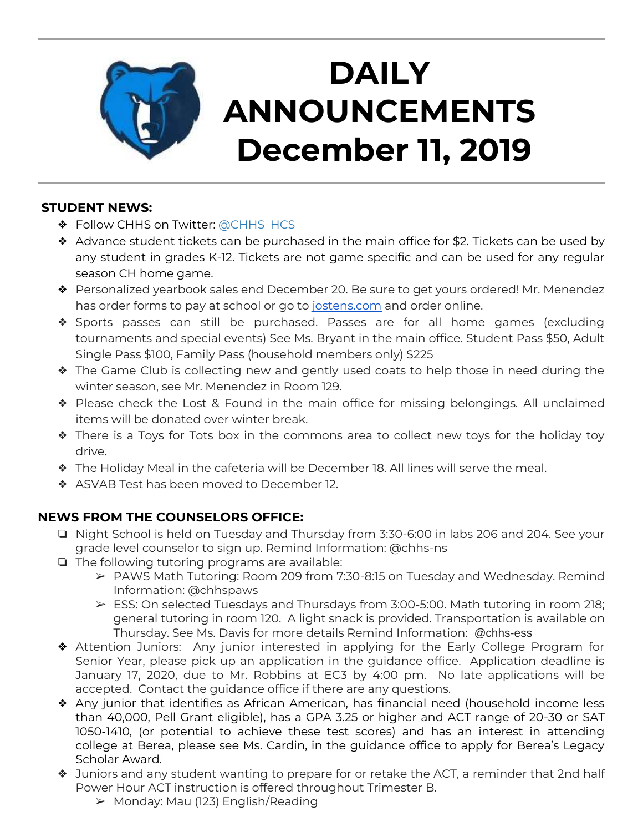

# **DAILY ANNOUNCEMENTS December 11, 2019**

### **STUDENT NEWS:**

- ◆ Follow CHHS on Twitter: [@CHHS\\_HCS](https://twitter.com/CHHS_HCS)
- ❖ Advance student tickets can be purchased in the main office for \$2. Tickets can be used by any student in grades K-12. Tickets are not game specific and can be used for any regular season CH home game.
- ❖ Personalized yearbook sales end December 20. Be sure to get yours ordered! Mr. Menendez has order forms to pay at school or go to [jostens.com](http://jostens.com/) and order online.
- ❖ Sports passes can still be purchased. Passes are for all home games (excluding tournaments and special events) See Ms. Bryant in the main office. Student Pass \$50, Adult Single Pass \$100, Family Pass (household members only) \$225
- ❖ The Game Club is collecting new and gently used coats to help those in need during the winter season, see Mr. Menendez in Room 129.
- ❖ Please check the Lost & Found in the main office for missing belongings. All unclaimed items will be donated over winter break.
- ❖ There is a Toys for Tots box in the commons area to collect new toys for the holiday toy drive.
- ❖ The Holiday Meal in the cafeteria will be December 18. All lines will serve the meal.
- ❖ ASVAB Test has been moved to December 12.

## **NEWS FROM THE COUNSELORS OFFICE:**

- ❏ Night School is held on Tuesday and Thursday from 3:30-6:00 in labs 206 and 204. See your grade level counselor to sign up. Remind Information: @chhs-ns
- ❏ The following tutoring programs are available:
	- ➢ PAWS Math Tutoring: Room 209 from 7:30-8:15 on Tuesday and Wednesday. Remind Information: @chhspaws
	- $\triangleright$  ESS: On selected Tuesdays and Thursdays from 3:00-5:00. Math tutoring in room 218; general tutoring in room 120. A light snack is provided. Transportation is available on Thursday. See Ms. Davis for more details Remind Information: @chhs-ess
- ❖ Attention Juniors: Any junior interested in applying for the Early College Program for Senior Year, please pick up an application in the guidance office. Application deadline is January 17, 2020, due to Mr. Robbins at EC3 by 4:00 pm. No late applications will be accepted. Contact the guidance office if there are any questions.
- ❖ Any junior that identifies as African American, has financial need (household income less than 40,000, Pell Grant eligible), has a GPA 3.25 or higher and ACT range of 20-30 or SAT 1050-1410, (or potential to achieve these test scores) and has an interest in attending college at Berea, please see Ms. Cardin, in the guidance office to apply for Berea's Legacy Scholar Award.
- ❖ Juniors and any student wanting to prepare for or retake the ACT, a reminder that 2nd half Power Hour ACT instruction is offered throughout Trimester B.
	- ➢ Monday: Mau (123) English/Reading